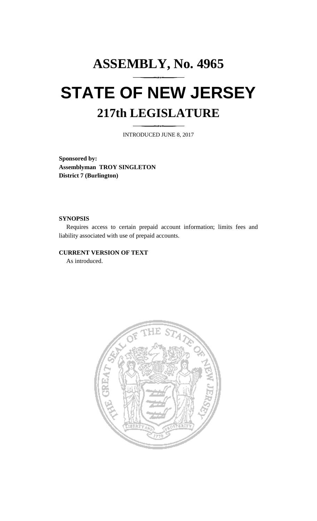# **ASSEMBLY, No. 4965 STATE OF NEW JERSEY 217th LEGISLATURE**

INTRODUCED JUNE 8, 2017

**Sponsored by: Assemblyman TROY SINGLETON District 7 (Burlington)**

#### **SYNOPSIS**

Requires access to certain prepaid account information; limits fees and liability associated with use of prepaid accounts.

#### **CURRENT VERSION OF TEXT**

As introduced.

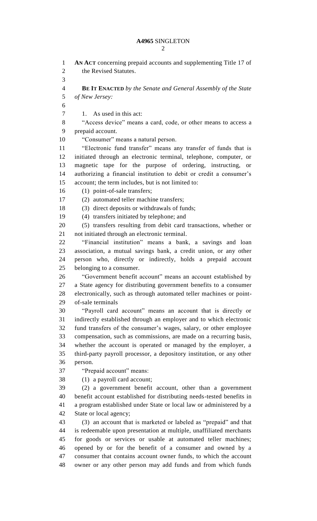**AN ACT** concerning prepaid accounts and supplementing Title 17 of the Revised Statutes. **BE IT ENACTED** *by the Senate and General Assembly of the State of New Jersey:* 1. As used in this act: "Access device" means a card, code, or other means to access a prepaid account. "Consumer" means a natural person. "Electronic fund transfer" means any transfer of funds that is initiated through an electronic terminal, telephone, computer, or magnetic tape for the purpose of ordering, instructing, or authorizing a financial institution to debit or credit a consumer's account; the term includes, but is not limited to: (1) point-of-sale transfers; (2) automated teller machine transfers; 18 (3) direct deposits or withdrawals of funds; (4) transfers initiated by telephone; and (5) transfers resulting from debit card transactions, whether or not initiated through an electronic terminal. "Financial institution" means a bank, a savings and loan association, a mutual savings bank, a credit union, or any other person who, directly or indirectly, holds a prepaid account belonging to a consumer. "Government benefit account" means an account established by a State agency for distributing government benefits to a consumer electronically, such as through automated teller machines or point- of-sale terminals "Payroll card account" means an account that is directly or indirectly established through an employer and to which electronic fund transfers of the consumer's wages, salary, or other employee compensation, such as commissions, are made on a recurring basis, whether the account is operated or managed by the employer, a third-party payroll processor, a depository institution, or any other person. "Prepaid account" means: (1) a payroll card account; (2) a government benefit account, other than a government benefit account established for distributing needs-tested benefits in a program established under State or local law or administered by a State or local agency; (3) an account that is marketed or labeled as "prepaid" and that is redeemable upon presentation at multiple, unaffiliated merchants for goods or services or usable at automated teller machines; opened by or for the benefit of a consumer and owned by a consumer that contains account owner funds, to which the account owner or any other person may add funds and from which funds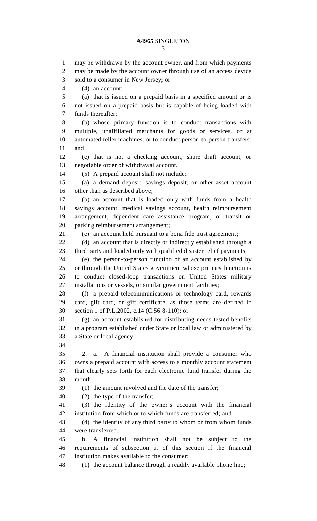may be withdrawn by the account owner, and from which payments may be made by the account owner through use of an access device sold to a consumer in New Jersey; or (4) an account: (a) that is issued on a prepaid basis in a specified amount or is not issued on a prepaid basis but is capable of being loaded with funds thereafter; (b) whose primary function is to conduct transactions with multiple, unaffiliated merchants for goods or services, or at automated teller machines, or to conduct person-to-person transfers; and (c) that is not a checking account, share draft account, or negotiable order of withdrawal account. (5) A prepaid account shall not include: (a) a demand deposit, savings deposit, or other asset account other than as described above; (b) an account that is loaded only with funds from a health savings account, medical savings account, health reimbursement arrangement, dependent care assistance program, or transit or parking reimbursement arrangement; (c) an account held pursuant to a bona fide trust agreement; 22 (d) an account that is directly or indirectly established through a third party and loaded only with qualified disaster relief payments; (e) the person-to-person function of an account established by or through the United States government whose primary function is to conduct closed-loop transactions on United States military installations or vessels, or similar government facilities; (f) a prepaid telecommunications or technology card, rewards card, gift card, or gift certificate, as those terms are defined in section 1 of P.L.2002, c.14 (C.56:8-110); or (g) an account established for distributing needs-tested benefits in a program established under State or local law or administered by a State or local agency. 2. a. A financial institution shall provide a consumer who owns a prepaid account with access to a monthly account statement that clearly sets forth for each electronic fund transfer during the month: (1) the amount involved and the date of the transfer; (2) the type of the transfer; (3) the identity of the owner's account with the financial institution from which or to which funds are transferred; and (4) the identity of any third party to whom or from whom funds were transferred. b. A financial institution shall not be subject to the requirements of subsection a. of this section if the financial institution makes available to the consumer:

(1) the account balance through a readily available phone line;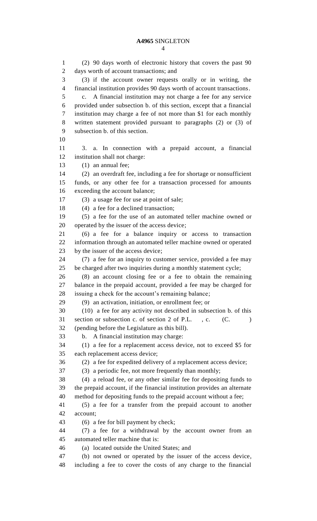(2) 90 days worth of electronic history that covers the past 90 days worth of account transactions; and (3) if the account owner requests orally or in writing, the financial institution provides 90 days worth of account transactions. c. A financial institution may not charge a fee for any service provided under subsection b. of this section, except that a financial institution may charge a fee of not more than \$1 for each monthly written statement provided pursuant to paragraphs (2) or (3) of subsection b. of this section. 3. a. In connection with a prepaid account, a financial institution shall not charge: (1) an annual fee; (2) an overdraft fee, including a fee for shortage or nonsufficient funds, or any other fee for a transaction processed for amounts exceeding the account balance; (3) a usage fee for use at point of sale; (4) a fee for a declined transaction; (5) a fee for the use of an automated teller machine owned or operated by the issuer of the access device; (6) a fee for a balance inquiry or access to transaction information through an automated teller machine owned or operated by the issuer of the access device; (7) a fee for an inquiry to customer service, provided a fee may be charged after two inquiries during a monthly statement cycle; (8) an account closing fee or a fee to obtain the remaining balance in the prepaid account, provided a fee may be charged for issuing a check for the account's remaining balance; (9) an activation, initiation, or enrollment fee; or (10) a fee for any activity not described in subsection b. of this 31 section or subsection c. of section 2 of P.L., c. (C. ) (pending before the Legislature as this bill). b. A financial institution may charge: (1) a fee for a replacement access device, not to exceed \$5 for each replacement access device; (2) a fee for expedited delivery of a replacement access device; (3) a periodic fee, not more frequently than monthly; (4) a reload fee, or any other similar fee for depositing funds to the prepaid account, if the financial institution provides an alternate method for depositing funds to the prepaid account without a fee; (5) a fee for a transfer from the prepaid account to another account; (6) a fee for bill payment by check; (7) a fee for a withdrawal by the account owner from an automated teller machine that is: (a) located outside the United States; and (b) not owned or operated by the issuer of the access device, including a fee to cover the costs of any charge to the financial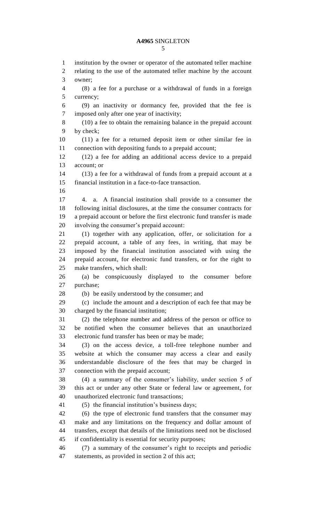#### 

 institution by the owner or operator of the automated teller machine relating to the use of the automated teller machine by the account owner; (8) a fee for a purchase or a withdrawal of funds in a foreign currency; (9) an inactivity or dormancy fee, provided that the fee is imposed only after one year of inactivity; (10) a fee to obtain the remaining balance in the prepaid account by check; (11) a fee for a returned deposit item or other similar fee in connection with depositing funds to a prepaid account; (12) a fee for adding an additional access device to a prepaid account; or (13) a fee for a withdrawal of funds from a prepaid account at a financial institution in a face-to-face transaction. 4. a. A financial institution shall provide to a consumer the following initial disclosures, at the time the consumer contracts for a prepaid account or before the first electronic fund transfer is made involving the consumer's prepaid account: (1) together with any application, offer, or solicitation for a prepaid account, a table of any fees, in writing, that may be imposed by the financial institution associated with using the prepaid account, for electronic fund transfers, or for the right to make transfers, which shall: (a) be conspicuously displayed to the consumer before purchase; (b) be easily understood by the consumer; and (c) include the amount and a description of each fee that may be charged by the financial institution; (2) the telephone number and address of the person or office to be notified when the consumer believes that an unauthorized electronic fund transfer has been or may be made; (3) on the access device, a toll-free telephone number and website at which the consumer may access a clear and easily understandable disclosure of the fees that may be charged in connection with the prepaid account; (4) a summary of the consumer's liability, under section 5 of this act or under any other State or federal law or agreement, for unauthorized electronic fund transactions; (5) the financial institution's business days; (6) the type of electronic fund transfers that the consumer may make and any limitations on the frequency and dollar amount of transfers, except that details of the limitations need not be disclosed if confidentiality is essential for security purposes; (7) a summary of the consumer's right to receipts and periodic statements, as provided in section 2 of this act;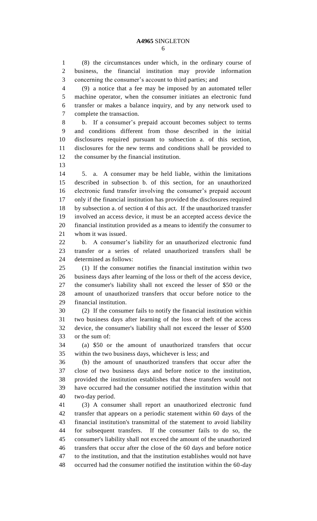(8) the circumstances under which, in the ordinary course of business, the financial institution may provide information concerning the consumer's account to third parties; and

 (9) a notice that a fee may be imposed by an automated teller machine operator, when the consumer initiates an electronic fund transfer or makes a balance inquiry, and by any network used to complete the transaction.

 b. If a consumer's prepaid account becomes subject to terms and conditions different from those described in the initial disclosures required pursuant to subsection a. of this section, disclosures for the new terms and conditions shall be provided to the consumer by the financial institution.

 5. a. A consumer may be held liable, within the limitations described in subsection b. of this section, for an unauthorized electronic fund transfer involving the consumer's prepaid account only if the financial institution has provided the disclosures required by subsection a. of section 4 of this act. If the unauthorized transfer involved an access device, it must be an accepted access device the financial institution provided as a means to identify the consumer to whom it was issued.

 b. A consumer's liability for an unauthorized electronic fund transfer or a series of related unauthorized transfers shall be determined as follows:

 (1) If the consumer notifies the financial institution within two business days after learning of the loss or theft of the access device, the consumer's liability shall not exceed the lesser of \$50 or the amount of unauthorized transfers that occur before notice to the financial institution.

 (2) If the consumer fails to notify the financial institution within two business days after learning of the loss or theft of the access device, the consumer's liability shall not exceed the lesser of \$500 or the sum of:

 (a) \$50 or the amount of unauthorized transfers that occur within the two business days, whichever is less; and

 (b) the amount of unauthorized transfers that occur after the close of two business days and before notice to the institution, provided the institution establishes that these transfers would not have occurred had the consumer notified the institution within that two-day period.

 (3) A consumer shall report an unauthorized electronic fund transfer that appears on a periodic statement within 60 days of the financial institution's transmittal of the statement to avoid liability for subsequent transfers. If the consumer fails to do so, the consumer's liability shall not exceed the amount of the unauthorized transfers that occur after the close of the 60 days and before notice to the institution, and that the institution establishes would not have occurred had the consumer notified the institution within the 60-day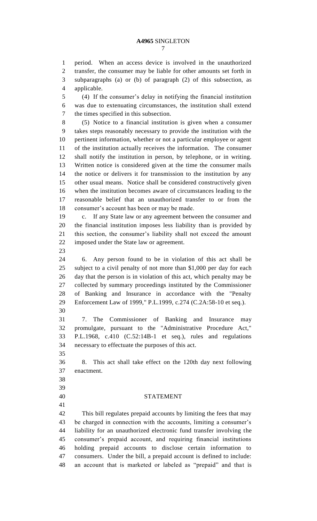period. When an access device is involved in the unauthorized transfer, the consumer may be liable for other amounts set forth in subparagraphs (a) or (b) of paragraph (2) of this subsection, as applicable. (4) If the consumer's delay in notifying the financial institution was due to extenuating circumstances, the institution shall extend the times specified in this subsection. (5) Notice to a financial institution is given when a consumer takes steps reasonably necessary to provide the institution with the pertinent information, whether or not a particular employee or agent of the institution actually receives the information. The consumer

 shall notify the institution in person, by telephone, or in writing. Written notice is considered given at the time the consumer mails the notice or delivers it for transmission to the institution by any other usual means. Notice shall be considered constructively given when the institution becomes aware of circumstances leading to the reasonable belief that an unauthorized transfer to or from the consumer's account has been or may be made.

 c. If any State law or any agreement between the consumer and the financial institution imposes less liability than is provided by this section, the consumer's liability shall not exceed the amount imposed under the State law or agreement.

 6. Any person found to be in violation of this act shall be subject to a civil penalty of not more than \$1,000 per day for each day that the person is in violation of this act, which penalty may be collected by summary proceedings instituted by the Commissioner of Banking and Insurance in accordance with the "Penalty Enforcement Law of 1999," P.L.1999, c.274 (C.2A:58-10 et seq.). 

 7. The Commissioner of Banking and Insurance may promulgate, pursuant to the "Administrative Procedure Act," P.L.1968, c.410 (C.52:14B-1 et seq.), rules and regulations necessary to effectuate the purposes of this act.

 8. This act shall take effect on the 120th day next following enactment.

- 
- 
- 

### STATEMENT

 This bill regulates prepaid accounts by limiting the fees that may be charged in connection with the accounts, limiting a consumer's liability for an unauthorized electronic fund transfer involving the consumer's prepaid account, and requiring financial institutions holding prepaid accounts to disclose certain information to consumers. Under the bill, a prepaid account is defined to include: an account that is marketed or labeled as "prepaid" and that is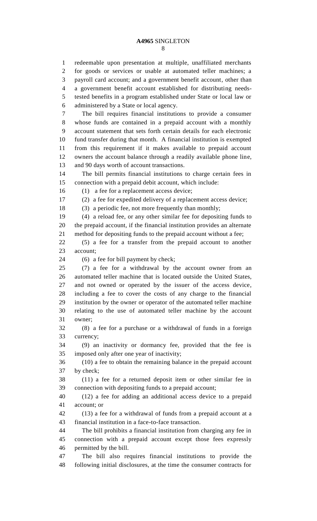redeemable upon presentation at multiple, unaffiliated merchants for goods or services or usable at automated teller machines; a payroll card account; and a government benefit account, other than a government benefit account established for distributing needs- tested benefits in a program established under State or local law or administered by a State or local agency. The bill requires financial institutions to provide a consumer whose funds are contained in a prepaid account with a monthly account statement that sets forth certain details for each electronic fund transfer during that month. A financial institution is exempted from this requirement if it makes available to prepaid account owners the account balance through a readily available phone line, and 90 days worth of account transactions. The bill permits financial institutions to charge certain fees in connection with a prepaid debit account, which include: (1) a fee for a replacement access device; (2) a fee for expedited delivery of a replacement access device; (3) a periodic fee, not more frequently than monthly; (4) a reload fee, or any other similar fee for depositing funds to the prepaid account, if the financial institution provides an alternate method for depositing funds to the prepaid account without a fee; (5) a fee for a transfer from the prepaid account to another account; (6) a fee for bill payment by check; (7) a fee for a withdrawal by the account owner from an automated teller machine that is located outside the United States, and not owned or operated by the issuer of the access device, including a fee to cover the costs of any charge to the financial institution by the owner or operator of the automated teller machine relating to the use of automated teller machine by the account owner; (8) a fee for a purchase or a withdrawal of funds in a foreign currency; (9) an inactivity or dormancy fee, provided that the fee is imposed only after one year of inactivity; (10) a fee to obtain the remaining balance in the prepaid account by check; (11) a fee for a returned deposit item or other similar fee in connection with depositing funds to a prepaid account; (12) a fee for adding an additional access device to a prepaid account; or (13) a fee for a withdrawal of funds from a prepaid account at a financial institution in a face-to-face transaction. The bill prohibits a financial institution from charging any fee in connection with a prepaid account except those fees expressly permitted by the bill. The bill also requires financial institutions to provide the following initial disclosures, at the time the consumer contracts for